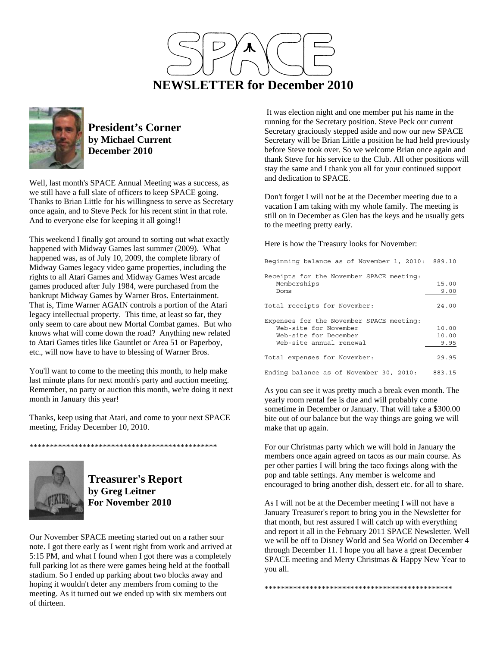



## **President's Corner by Michael Current December 2010**

Well, last month's SPACE Annual Meeting was a success, as we still have a full slate of officers to keep SPACE going. Thanks to Brian Little for his willingness to serve as Secretary once again, and to Steve Peck for his recent stint in that role. And to everyone else for keeping it all going!!

This weekend I finally got around to sorting out what exactly happened with Midway Games last summer (2009). What happened was, as of July 10, 2009, the complete library of Midway Games legacy video game properties, including the rights to all Atari Games and Midway Games West arcade games produced after July 1984, were purchased from the bankrupt Midway Games by Warner Bros. Entertainment. That is, Time Warner AGAIN controls a portion of the Atari legacy intellectual property. This time, at least so far, they only seem to care about new Mortal Combat games. But who knows what will come down the road? Anything new related to Atari Games titles like Gauntlet or Area 51 or Paperboy, etc., will now have to have to blessing of Warner Bros.

You'll want to come to the meeting this month, to help make last minute plans for next month's party and auction meeting. Remember, no party or auction this month, we're doing it next month in January this year!

Thanks, keep using that Atari, and come to your next SPACE meeting, Friday December 10, 2010.

\*\*\*\*\*\*\*\*\*\*\*\*\*\*\*\*\*\*\*\*\*\*\*\*\*\*\*\*\*\*\*\*\*\*\*\*\*\*\*\*\*\*\*\*\*\*



**Treasurer's Report by Greg Leitner For November 2010** 

Our November SPACE meeting started out on a rather sour note. I got there early as I went right from work and arrived at 5:15 PM, and what I found when I got there was a completely full parking lot as there were games being held at the football stadium. So I ended up parking about two blocks away and hoping it wouldn't deter any members from coming to the meeting. As it turned out we ended up with six members out of thirteen.

 It was election night and one member put his name in the running for the Secretary position. Steve Peck our current Secretary graciously stepped aside and now our new SPACE Secretary will be Brian Little a position he had held previously before Steve took over. So we welcome Brian once again and thank Steve for his service to the Club. All other positions will stay the same and I thank you all for your continued support and dedication to SPACE.

Don't forget I will not be at the December meeting due to a vacation I am taking with my whole family. The meeting is still on in December as Glen has the keys and he usually gets to the meeting pretty early.

Here is how the Treasury looks for November:

| Beginning balance as of November 1, 2010: 889.10        |        |
|---------------------------------------------------------|--------|
| Receipts for the November SPACE meeting:<br>Memberships | 15.00  |
| Doms                                                    | 9.00   |
| Total receipts for November:                            | 24.00  |
| Expenses for the November SPACE meeting:                |        |
| Web-site for November                                   | 10.00  |
| Web-site for December                                   | 10.00  |
| Web-site annual renewal                                 | 9.95   |
| Total expenses for November:                            | 29.95  |
| Ending balance as of November 30, 2010:                 | 883.15 |

As you can see it was pretty much a break even month. The yearly room rental fee is due and will probably come sometime in December or January. That will take a \$300.00 bite out of our balance but the way things are going we will make that up again.

For our Christmas party which we will hold in January the members once again agreed on tacos as our main course. As per other parties I will bring the taco fixings along with the pop and table settings. Any member is welcome and encouraged to bring another dish, dessert etc. for all to share.

As I will not be at the December meeting I will not have a January Treasurer's report to bring you in the Newsletter for that month, but rest assured I will catch up with everything and report it all in the February 2011 SPACE Newsletter. Well we will be off to Disney World and Sea World on December 4 through December 11. I hope you all have a great December SPACE meeting and Merry Christmas & Happy New Year to you all.

\*\*\*\*\*\*\*\*\*\*\*\*\*\*\*\*\*\*\*\*\*\*\*\*\*\*\*\*\*\*\*\*\*\*\*\*\*\*\*\*\*\*\*\*\*\*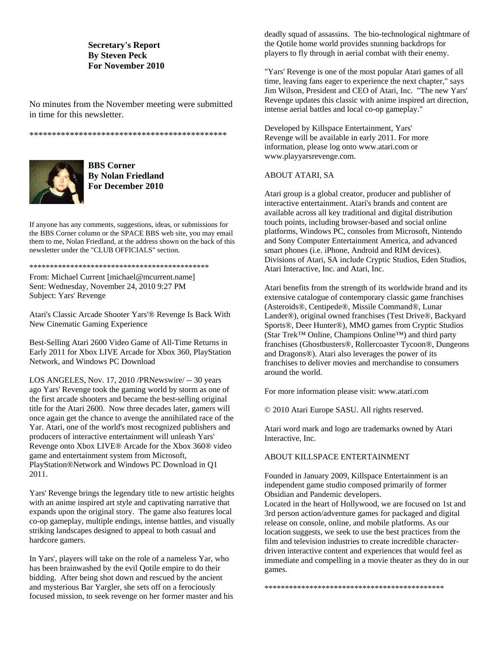### **Secretary's Report By Steven Peck For November 2010**

No minutes from the November meeting were submitted in time for this newsletter.

\*\*\*\*\*\*\*\*\*\*\*\*\*\*\*\*\*\*\*\*\*\*\*\*\*\*\*\*\*\*\*\*\*\*\*\*\*\*\*\*\*\*\*\*



**BBS Corner By Nolan Friedland For December 2010** 

If anyone has any comments, suggestions, ideas, or submissions for the BBS Corner column or the SPACE BBS web site, you may email them to me, Nolan Friedland, at the address shown on the back of this newsletter under the "CLUB OFFICIALS" section.

\*\*\*\*\*\*\*\*\*\*\*\*\*\*\*\*\*\*\*\*\*\*\*\*\*\*\*\*\*\*\*\*\*\*\*\*\*\*\*\*\*\*\*\*

From: Michael Current [michael@mcurrent.name] Sent: Wednesday, November 24, 2010 9:27 PM Subject: Yars' Revenge

Atari's Classic Arcade Shooter Yars'® Revenge Is Back With New Cinematic Gaming Experience

Best-Selling Atari 2600 Video Game of All-Time Returns in Early 2011 for Xbox LIVE Arcade for Xbox 360, PlayStation Network, and Windows PC Download

LOS ANGELES, Nov. 17, 2010 /PRNewswire/ -- 30 years ago Yars' Revenge took the gaming world by storm as one of the first arcade shooters and became the best-selling original title for the Atari 2600. Now three decades later, gamers will once again get the chance to avenge the annihilated race of the Yar. Atari, one of the world's most recognized publishers and producers of interactive entertainment will unleash Yars' Revenge onto Xbox LIVE® Arcade for the Xbox 360® video game and entertainment system from Microsoft, PlayStation®Network and Windows PC Download in Q1 2011.

Yars' Revenge brings the legendary title to new artistic heights with an anime inspired art style and captivating narrative that expands upon the original story. The game also features local co-op gameplay, multiple endings, intense battles, and visually striking landscapes designed to appeal to both casual and hardcore gamers.

In Yars', players will take on the role of a nameless Yar, who has been brainwashed by the evil Qotile empire to do their bidding. After being shot down and rescued by the ancient and mysterious Bar Yargler, she sets off on a ferociously focused mission, to seek revenge on her former master and his

deadly squad of assassins. The bio-technological nightmare of the Qotile home world provides stunning backdrops for players to fly through in aerial combat with their enemy.

"Yars' Revenge is one of the most popular Atari games of all time, leaving fans eager to experience the next chapter," says Jim Wilson, President and CEO of Atari, Inc. "The new Yars' Revenge updates this classic with anime inspired art direction, intense aerial battles and local co-op gameplay."

Developed by Killspace Entertainment, Yars' Revenge will be available in early 2011. For more information, please log onto www.atari.com or www.playyarsrevenge.com.

#### ABOUT ATARI, SA

Atari group is a global creator, producer and publisher of interactive entertainment. Atari's brands and content are available across all key traditional and digital distribution touch points, including browser-based and social online platforms, Windows PC, consoles from Microsoft, Nintendo and Sony Computer Entertainment America, and advanced smart phones (i.e. iPhone, Android and RIM devices). Divisions of Atari, SA include Cryptic Studios, Eden Studios, Atari Interactive, Inc. and Atari, Inc.

Atari benefits from the strength of its worldwide brand and its extensive catalogue of contemporary classic game franchises (Asteroids®, Centipede®, Missile Command®, Lunar Lander®), original owned franchises (Test Drive®, Backyard Sports®, Deer Hunter®), MMO games from Cryptic Studios (Star Trek™ Online, Champions Online™) and third party franchises (Ghostbusters®, Rollercoaster Tycoon®, Dungeons and Dragons®). Atari also leverages the power of its franchises to deliver movies and merchandise to consumers around the world.

For more information please visit: www.atari.com

© 2010 Atari Europe SASU. All rights reserved.

Atari word mark and logo are trademarks owned by Atari Interactive, Inc.

#### ABOUT KILLSPACE ENTERTAINMENT

Founded in January 2009, Killspace Entertainment is an independent game studio composed primarily of former Obsidian and Pandemic developers.

Located in the heart of Hollywood, we are focused on 1st and 3rd person action/adventure games for packaged and digital release on console, online, and mobile platforms. As our location suggests, we seek to use the best practices from the film and television industries to create incredible characterdriven interactive content and experiences that would feel as immediate and compelling in a movie theater as they do in our games.

\*\*\*\*\*\*\*\*\*\*\*\*\*\*\*\*\*\*\*\*\*\*\*\*\*\*\*\*\*\*\*\*\*\*\*\*\*\*\*\*\*\*\*\*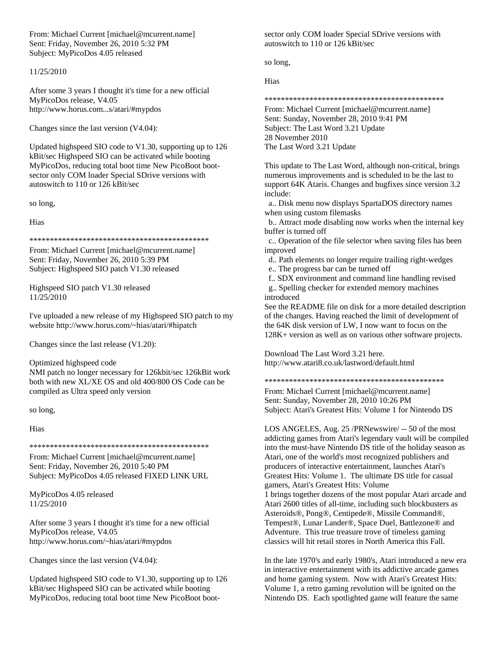From: Michael Current [michael@mcurrent.name] Sent: Friday, November 26, 2010 5:32 PM Subject: MyPicoDos 4.05 released

#### 11/25/2010

After some 3 years I thought it's time for a new official MyPicoDos release, V4.05 http://www.horus.com...s/atari/#mypdos

Changes since the last version (V4.04):

Updated highspeed SIO code to V1.30, supporting up to 126 kBit/sec Highspeed SIO can be activated while booting MyPicoDos, reducing total boot time New PicoBoot bootsector only COM loader Special SDrive versions with autoswitch to 110 or 126 kBit/sec

so long,

Hias

\*\*\*\*\*\*\*\*\*\*\*\*\*\*\*\*\*\*\*\*\*\*\*\*\*\*\*\*\*\*\*\*\*\*\*\*\*\*\*\*\*\*\*\*

From: Michael Current [michael@mcurrent.name] Sent: Friday, November 26, 2010 5:39 PM Subject: Highspeed SIO patch V1.30 released

Highspeed SIO patch V1.30 released 11/25/2010

I've uploaded a new release of my Highspeed SIO patch to my website http://www.horus.com/~hias/atari/#hipatch

Changes since the last release (V1.20):

Optimized highspeed code

NMI patch no longer necessary for 126kbit/sec 126kBit work both with new XL/XE OS and old 400/800 OS Code can be compiled as Ultra speed only version

so long,

Hias

\*\*\*\*\*\*\*\*\*\*\*\*\*\*\*\*\*\*\*\*\*\*\*\*\*\*\*\*\*\*\*\*\*\*\*\*\*\*\*\*\*\*\*\*

From: Michael Current [michael@mcurrent.name] Sent: Friday, November 26, 2010 5:40 PM Subject: MyPicoDos 4.05 released FIXED LINK URL

MyPicoDos 4.05 released 11/25/2010

After some 3 years I thought it's time for a new official MyPicoDos release, V4.05 http://www.horus.com/~hias/atari/#mypdos

Changes since the last version (V4.04):

Updated highspeed SIO code to V1.30, supporting up to 126 kBit/sec Highspeed SIO can be activated while booting MyPicoDos, reducing total boot time New PicoBoot boot-

sector only COM loader Special SDrive versions with autoswitch to 110 or 126 kBit/sec

so long,

Hias

\*\*\*\*\*\*\*\*\*\*\*\*\*\*\*\*\*\*\*\*\*\*\*\*\*\*\*\*\*\*\*\*\*\*\*\*\*\*\*\*\*\*\*\*

From: Michael Current [michael@mcurrent.name] Sent: Sunday, November 28, 2010 9:41 PM Subject: The Last Word 3.21 Update 28 November 2010 The Last Word 3.21 Update

This update to The Last Word, although non-critical, brings numerous improvements and is scheduled to be the last to support 64K Ataris. Changes and bugfixes since version 3.2 include:

 a.. Disk menu now displays SpartaDOS directory names when using custom filemasks

 b.. Attract mode disabling now works when the internal key buffer is turned off

 c.. Operation of the file selector when saving files has been improved

d.. Path elements no longer require trailing right-wedges

e.. The progress bar can be turned off

f.. SDX environment and command line handling revised

 g.. Spelling checker for extended memory machines introduced

See the README file on disk for a more detailed description of the changes. Having reached the limit of development of the 64K disk version of LW, I now want to focus on the 128K+ version as well as on various other software projects.

Download The Last Word 3.21 here. http://www.atari8.co.uk/lastword/default.html

\*\*\*\*\*\*\*\*\*\*\*\*\*\*\*\*\*\*\*\*\*\*\*\*\*\*\*\*\*\*\*\*\*\*\*\*\*\*\*\*\*\*\*\*

From: Michael Current [michael@mcurrent.name] Sent: Sunday, November 28, 2010 10:26 PM Subject: Atari's Greatest Hits: Volume 1 for Nintendo DS

LOS ANGELES, Aug. 25 /PRNewswire/ -- 50 of the most addicting games from Atari's legendary vault will be compiled into the must-have Nintendo DS title of the holiday season as Atari, one of the world's most recognized publishers and producers of interactive entertainment, launches Atari's Greatest Hits: Volume 1. The ultimate DS title for casual gamers, Atari's Greatest Hits: Volume 1 brings together dozens of the most popular Atari arcade and Atari 2600 titles of all-time, including such blockbusters as Asteroids®, Pong®, Centipede®, Missile Command®, Tempest®, Lunar Lander®, Space Duel, Battlezone® and Adventure. This true treasure trove of timeless gaming classics will hit retail stores in North America this Fall.

In the late 1970's and early 1980's, Atari introduced a new era in interactive entertainment with its addictive arcade games and home gaming system. Now with Atari's Greatest Hits: Volume 1, a retro gaming revolution will be ignited on the Nintendo DS. Each spotlighted game will feature the same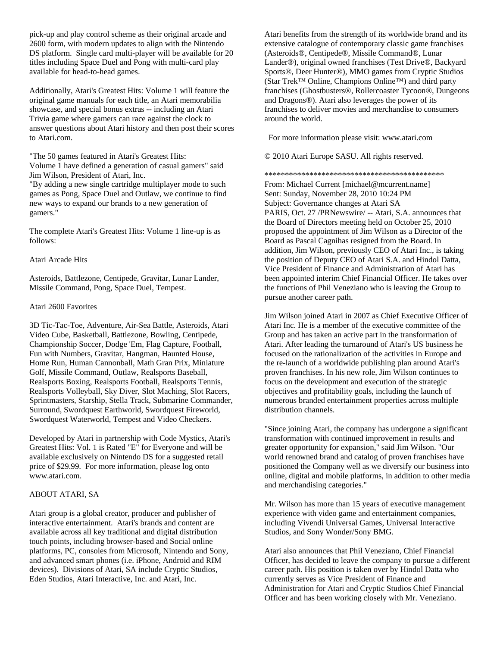pick-up and play control scheme as their original arcade and 2600 form, with modern updates to align with the Nintendo DS platform. Single card multi-player will be available for 20 titles including Space Duel and Pong with multi-card play available for head-to-head games.

Additionally, Atari's Greatest Hits: Volume 1 will feature the original game manuals for each title, an Atari memorabilia showcase, and special bonus extras -- including an Atari Trivia game where gamers can race against the clock to answer questions about Atari history and then post their scores to Atari.com.

"The 50 games featured in Atari's Greatest Hits: Volume 1 have defined a generation of casual gamers" said Jim Wilson, President of Atari, Inc.

"By adding a new single cartridge multiplayer mode to such games as Pong, Space Duel and Outlaw, we continue to find new ways to expand our brands to a new generation of gamers."

The complete Atari's Greatest Hits: Volume 1 line-up is as follows:

Atari Arcade Hits

Asteroids, Battlezone, Centipede, Gravitar, Lunar Lander, Missile Command, Pong, Space Duel, Tempest.

#### Atari 2600 Favorites

3D Tic-Tac-Toe, Adventure, Air-Sea Battle, Asteroids, Atari Video Cube, Basketball, Battlezone, Bowling, Centipede, Championship Soccer, Dodge 'Em, Flag Capture, Football, Fun with Numbers, Gravitar, Hangman, Haunted House, Home Run, Human Cannonball, Math Gran Prix, Miniature Golf, Missile Command, Outlaw, Realsports Baseball, Realsports Boxing, Realsports Football, Realsports Tennis, Realsports Volleyball, Sky Diver, Slot Maching, Slot Racers, Sprintmasters, Starship, Stella Track, Submarine Commander, Surround, Swordquest Earthworld, Swordquest Fireworld, Swordquest Waterworld, Tempest and Video Checkers.

Developed by Atari in partnership with Code Mystics, Atari's Greatest Hits: Vol. 1 is Rated "E" for Everyone and will be available exclusively on Nintendo DS for a suggested retail price of \$29.99. For more information, please log onto www.atari.com.

#### ABOUT ATARI, SA

Atari group is a global creator, producer and publisher of interactive entertainment. Atari's brands and content are available across all key traditional and digital distribution touch points, including browser-based and Social online platforms, PC, consoles from Microsoft, Nintendo and Sony, and advanced smart phones (i.e. iPhone, Android and RIM devices). Divisions of Atari, SA include Cryptic Studios, Eden Studios, Atari Interactive, Inc. and Atari, Inc.

Atari benefits from the strength of its worldwide brand and its extensive catalogue of contemporary classic game franchises (Asteroids®, Centipede®, Missile Command®, Lunar Lander®), original owned franchises (Test Drive®, Backyard Sports®, Deer Hunter®), MMO games from Cryptic Studios (Star Trek™ Online, Champions Online™) and third party franchises (Ghostbusters®, Rollercoaster Tycoon®, Dungeons and Dragons®). Atari also leverages the power of its franchises to deliver movies and merchandise to consumers around the world.

For more information please visit: www.atari.com

© 2010 Atari Europe SASU. All rights reserved.

\*\*\*\*\*\*\*\*\*\*\*\*\*\*\*\*\*\*\*\*\*\*\*\*\*\*\*\*\*\*\*\*\*\*\*\*\*\*\*\*\*\*\*\*

From: Michael Current [michael@mcurrent.name] Sent: Sunday, November 28, 2010 10:24 PM Subject: Governance changes at Atari SA PARIS, Oct. 27 /PRNewswire/ -- Atari, S.A. announces that the Board of Directors meeting held on October 25, 2010 proposed the appointment of Jim Wilson as a Director of the Board as Pascal Cagnihas resigned from the Board. In addition, Jim Wilson, previously CEO of Atari Inc., is taking the position of Deputy CEO of Atari S.A. and Hindol Datta, Vice President of Finance and Administration of Atari has been appointed interim Chief Financial Officer. He takes over the functions of Phil Veneziano who is leaving the Group to pursue another career path.

Jim Wilson joined Atari in 2007 as Chief Executive Officer of Atari Inc. He is a member of the executive committee of the Group and has taken an active part in the transformation of Atari. After leading the turnaround of Atari's US business he focused on the rationalization of the activities in Europe and the re-launch of a worldwide publishing plan around Atari's proven franchises. In his new role, Jim Wilson continues to focus on the development and execution of the strategic objectives and profitability goals, including the launch of numerous branded entertainment properties across multiple distribution channels.

"Since joining Atari, the company has undergone a significant transformation with continued improvement in results and greater opportunity for expansion," said Jim Wilson. "Our world renowned brand and catalog of proven franchises have positioned the Company well as we diversify our business into online, digital and mobile platforms, in addition to other media and merchandising categories."

Mr. Wilson has more than 15 years of executive management experience with video game and entertainment companies, including Vivendi Universal Games, Universal Interactive Studios, and Sony Wonder/Sony BMG.

Atari also announces that Phil Veneziano, Chief Financial Officer, has decided to leave the company to pursue a different career path. His position is taken over by Hindol Datta who currently serves as Vice President of Finance and Administration for Atari and Cryptic Studios Chief Financial Officer and has been working closely with Mr. Veneziano.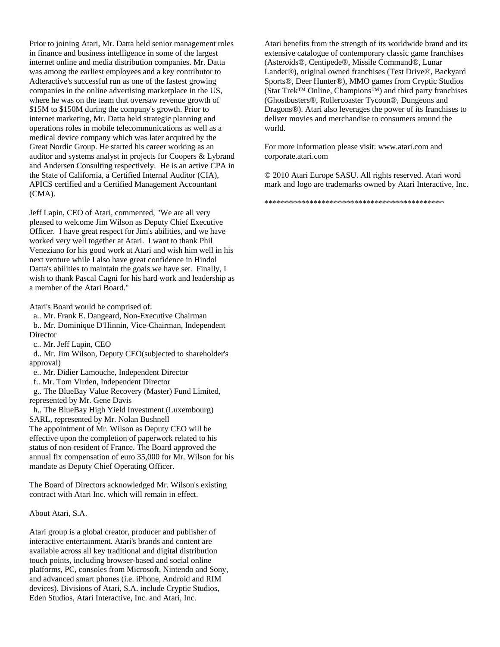Prior to joining Atari, Mr. Datta held senior management roles in finance and business intelligence in some of the largest internet online and media distribution companies. Mr. Datta was among the earliest employees and a key contributor to Adteractive's successful run as one of the fastest growing companies in the online advertising marketplace in the US, where he was on the team that oversaw revenue growth of \$15M to \$150M during the company's growth. Prior to internet marketing, Mr. Datta held strategic planning and operations roles in mobile telecommunications as well as a medical device company which was later acquired by the Great Nordic Group. He started his career working as an auditor and systems analyst in projects for Coopers & Lybrand and Andersen Consulting respectively. He is an active CPA in the State of California, a Certified Internal Auditor (CIA), APICS certified and a Certified Management Accountant (CMA).

Jeff Lapin, CEO of Atari, commented, "We are all very pleased to welcome Jim Wilson as Deputy Chief Executive Officer. I have great respect for Jim's abilities, and we have worked very well together at Atari. I want to thank Phil Veneziano for his good work at Atari and wish him well in his next venture while I also have great confidence in Hindol Datta's abilities to maintain the goals we have set. Finally, I wish to thank Pascal Cagni for his hard work and leadership as a member of the Atari Board."

Atari's Board would be comprised of:

 a.. Mr. Frank E. Dangeard, Non-Executive Chairman b.. Mr. Dominique D'Hinnin, Vice-Chairman, Independent **Director** 

c.. Mr. Jeff Lapin, CEO

 d.. Mr. Jim Wilson, Deputy CEO(subjected to shareholder's approval)

- e.. Mr. Didier Lamouche, Independent Director
- f.. Mr. Tom Virden, Independent Director

 g.. The BlueBay Value Recovery (Master) Fund Limited, represented by Mr. Gene Davis

 h.. The BlueBay High Yield Investment (Luxembourg) SARL, represented by Mr. Nolan Bushnell The appointment of Mr. Wilson as Deputy CEO will be effective upon the completion of paperwork related to his status of non-resident of France. The Board approved the annual fix compensation of euro 35,000 for Mr. Wilson for his mandate as Deputy Chief Operating Officer.

The Board of Directors acknowledged Mr. Wilson's existing contract with Atari Inc. which will remain in effect.

About Atari, S.A.

Atari group is a global creator, producer and publisher of interactive entertainment. Atari's brands and content are available across all key traditional and digital distribution touch points, including browser-based and social online platforms, PC, consoles from Microsoft, Nintendo and Sony, and advanced smart phones (i.e. iPhone, Android and RIM devices). Divisions of Atari, S.A. include Cryptic Studios, Eden Studios, Atari Interactive, Inc. and Atari, Inc.

Atari benefits from the strength of its worldwide brand and its extensive catalogue of contemporary classic game franchises (Asteroids®, Centipede®, Missile Command®, Lunar Lander®), original owned franchises (Test Drive®, Backyard Sports®, Deer Hunter®), MMO games from Cryptic Studios (Star Trek™ Online, Champions™) and third party franchises (Ghostbusters®, Rollercoaster Tycoon®, Dungeons and Dragons®). Atari also leverages the power of its franchises to deliver movies and merchandise to consumers around the world.

For more information please visit: www.atari.com and corporate.atari.com

© 2010 Atari Europe SASU. All rights reserved. Atari word mark and logo are trademarks owned by Atari Interactive, Inc.

\*\*\*\*\*\*\*\*\*\*\*\*\*\*\*\*\*\*\*\*\*\*\*\*\*\*\*\*\*\*\*\*\*\*\*\*\*\*\*\*\*\*\*\*